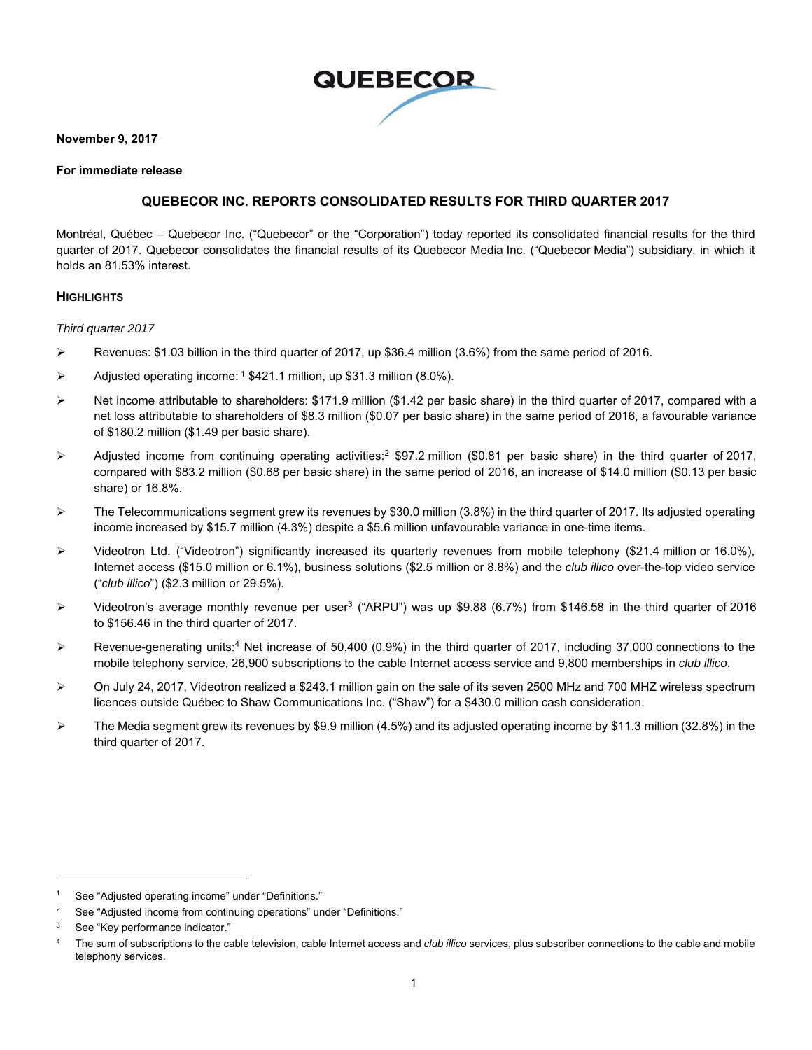

#### **November 9, 2017**

#### **For immediate release**

### **QUEBECOR INC. REPORTS CONSOLIDATED RESULTS FOR THIRD QUARTER 2017**

Montréal, Québec – Quebecor Inc. ("Quebecor" or the "Corporation") today reported its consolidated financial results for the third quarter of 2017. Quebecor consolidates the financial results of its Quebecor Media Inc. ("Quebecor Media") subsidiary, in which it holds an 81.53% interest.

### **HIGHLIGHTS**

#### *Third quarter 2017*

- Revenues: \$1.03 billion in the third quarter of 2017, up \$36.4 million (3.6%) from the same period of 2016.
- Adjusted operating income:  $1\frac{1}{2}421.1$  million, up \$31.3 million (8.0%).
- $\triangleright$  Net income attributable to shareholders: \$171.9 million (\$1.42 per basic share) in the third quarter of 2017, compared with a net loss attributable to shareholders of \$8.3 million (\$0.07 per basic share) in the same period of 2016, a favourable variance of \$180.2 million (\$1.49 per basic share).
- $\triangleright$  Adjusted income from continuing operating activities:<sup>2</sup> \$97.2 million (\$0.81 per basic share) in the third quarter of 2017, compared with \$83.2 million (\$0.68 per basic share) in the same period of 2016, an increase of \$14.0 million (\$0.13 per basic share) or 16.8%.
- $\triangleright$  The Telecommunications segment grew its revenues by \$30.0 million (3.8%) in the third quarter of 2017. Its adjusted operating income increased by \$15.7 million (4.3%) despite a \$5.6 million unfavourable variance in one-time items.
- Videotron Ltd. ("Videotron") significantly increased its quarterly revenues from mobile telephony (\$21.4 million or 16.0%), Internet access (\$15.0 million or 6.1%), business solutions (\$2.5 million or 8.8%) and the *club illico* over-the-top video service ("*club illico*") (\$2.3 million or 29.5%).
- $\triangleright$  Videotron's average monthly revenue per user<sup>3</sup> ("ARPU") was up \$9.88 (6.7%) from \$146.58 in the third quarter of 2016 to \$156.46 in the third quarter of 2017.
- Revenue-generating units:<sup>4</sup> Net increase of 50,400 (0.9%) in the third quarter of 2017, including 37,000 connections to the mobile telephony service, 26,900 subscriptions to the cable Internet access service and 9,800 memberships in *club illico*.
- On July 24, 2017, Videotron realized a \$243.1 million gain on the sale of its seven 2500 MHz and 700 MHZ wireless spectrum licences outside Québec to Shaw Communications Inc. ("Shaw") for a \$430.0 million cash consideration.
- The Media segment grew its revenues by \$9.9 million (4.5%) and its adjusted operating income by \$11.3 million (32.8%) in the third quarter of 2017.

 $\overline{a}$ 

<sup>1</sup> See "Adjusted operating income" under "Definitions."

<sup>2</sup> See "Adjusted income from continuing operations" under "Definitions."

<sup>3</sup> See "Key performance indicator."

<sup>4</sup> The sum of subscriptions to the cable television, cable Internet access and *club illico* services, plus subscriber connections to the cable and mobile telephony services.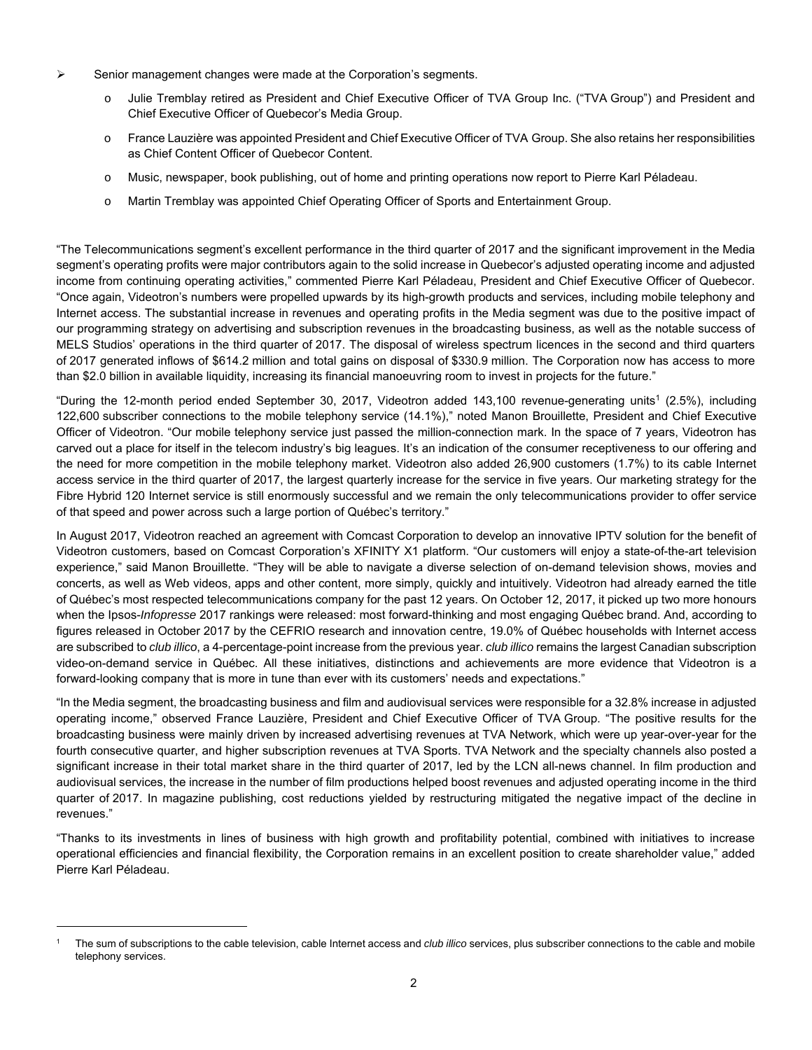- $\triangleright$  Senior management changes were made at the Corporation's segments.
	- o Julie Tremblay retired as President and Chief Executive Officer of TVA Group Inc. ("TVA Group") and President and Chief Executive Officer of Quebecor's Media Group.
	- o France Lauzière was appointed President and Chief Executive Officer of TVA Group. She also retains her responsibilities as Chief Content Officer of Quebecor Content.
	- o Music, newspaper, book publishing, out of home and printing operations now report to Pierre Karl Péladeau.
	- o Martin Tremblay was appointed Chief Operating Officer of Sports and Entertainment Group.

"The Telecommunications segment's excellent performance in the third quarter of 2017 and the significant improvement in the Media segment's operating profits were major contributors again to the solid increase in Quebecor's adjusted operating income and adjusted income from continuing operating activities," commented Pierre Karl Péladeau, President and Chief Executive Officer of Quebecor. "Once again, Videotron's numbers were propelled upwards by its high-growth products and services, including mobile telephony and Internet access. The substantial increase in revenues and operating profits in the Media segment was due to the positive impact of our programming strategy on advertising and subscription revenues in the broadcasting business, as well as the notable success of MELS Studios' operations in the third quarter of 2017. The disposal of wireless spectrum licences in the second and third quarters of 2017 generated inflows of \$614.2 million and total gains on disposal of \$330.9 million. The Corporation now has access to more than \$2.0 billion in available liquidity, increasing its financial manoeuvring room to invest in projects for the future."

"During the 12-month period ended September 30, 2017, Videotron added 143,100 revenue-generating units<sup>1</sup> (2.5%), including 122,600 subscriber connections to the mobile telephony service (14.1%)," noted Manon Brouillette, President and Chief Executive Officer of Videotron. "Our mobile telephony service just passed the million-connection mark. In the space of 7 years, Videotron has carved out a place for itself in the telecom industry's big leagues. It's an indication of the consumer receptiveness to our offering and the need for more competition in the mobile telephony market. Videotron also added 26,900 customers (1.7%) to its cable Internet access service in the third quarter of 2017, the largest quarterly increase for the service in five years. Our marketing strategy for the Fibre Hybrid 120 Internet service is still enormously successful and we remain the only telecommunications provider to offer service of that speed and power across such a large portion of Québec's territory."

In August 2017, Videotron reached an agreement with Comcast Corporation to develop an innovative IPTV solution for the benefit of Videotron customers, based on Comcast Corporation's XFINITY X1 platform. "Our customers will enjoy a state-of-the-art television experience," said Manon Brouillette. "They will be able to navigate a diverse selection of on-demand television shows, movies and concerts, as well as Web videos, apps and other content, more simply, quickly and intuitively. Videotron had already earned the title of Québec's most respected telecommunications company for the past 12 years. On October 12, 2017, it picked up two more honours when the Ipsos-*Infopresse* 2017 rankings were released: most forward-thinking and most engaging Québec brand. And, according to figures released in October 2017 by the CEFRIO research and innovation centre, 19.0% of Québec households with Internet access are subscribed to *club illico*, a 4-percentage-point increase from the previous year. *club illico* remains the largest Canadian subscription video-on-demand service in Québec. All these initiatives, distinctions and achievements are more evidence that Videotron is a forward-looking company that is more in tune than ever with its customers' needs and expectations."

"In the Media segment, the broadcasting business and film and audiovisual services were responsible for a 32.8% increase in adjusted operating income," observed France Lauzière, President and Chief Executive Officer of TVA Group. "The positive results for the broadcasting business were mainly driven by increased advertising revenues at TVA Network, which were up year-over-year for the fourth consecutive quarter, and higher subscription revenues at TVA Sports. TVA Network and the specialty channels also posted a significant increase in their total market share in the third quarter of 2017, led by the LCN all-news channel. In film production and audiovisual services, the increase in the number of film productions helped boost revenues and adjusted operating income in the third quarter of 2017. In magazine publishing, cost reductions yielded by restructuring mitigated the negative impact of the decline in revenues."

"Thanks to its investments in lines of business with high growth and profitability potential, combined with initiatives to increase operational efficiencies and financial flexibility, the Corporation remains in an excellent position to create shareholder value," added Pierre Karl Péladeau.

 $\overline{a}$ 

<sup>1</sup> The sum of subscriptions to the cable television, cable Internet access and *club illico* services, plus subscriber connections to the cable and mobile telephony services.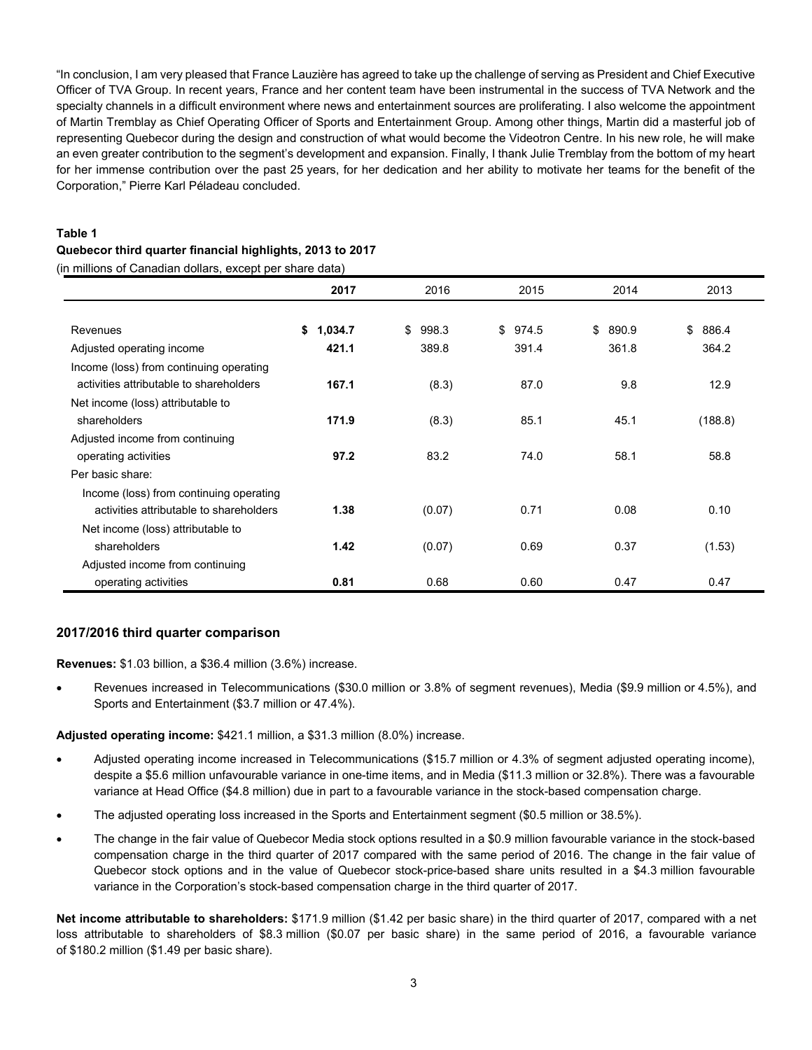"In conclusion, I am very pleased that France Lauzière has agreed to take up the challenge of serving as President and Chief Executive Officer of TVA Group. In recent years, France and her content team have been instrumental in the success of TVA Network and the specialty channels in a difficult environment where news and entertainment sources are proliferating. I also welcome the appointment of Martin Tremblay as Chief Operating Officer of Sports and Entertainment Group. Among other things, Martin did a masterful job of representing Quebecor during the design and construction of what would become the Videotron Centre. In his new role, he will make an even greater contribution to the segment's development and expansion. Finally, I thank Julie Tremblay from the bottom of my heart for her immense contribution over the past 25 years, for her dedication and her ability to motivate her teams for the benefit of the Corporation," Pierre Karl Péladeau concluded.

# **Table 1 Quebecor third quarter financial highlights, 2013 to 2017**

(in millions of Canadian dollars, except per share data)

|                                         | 2017          | 2016        | 2015        | 2014        | 2013        |
|-----------------------------------------|---------------|-------------|-------------|-------------|-------------|
|                                         |               |             |             |             |             |
| Revenues                                | \$<br>1,034.7 | \$<br>998.3 | \$<br>974.5 | \$<br>890.9 | \$<br>886.4 |
| Adjusted operating income               | 421.1         | 389.8       | 391.4       | 361.8       | 364.2       |
| Income (loss) from continuing operating |               |             |             |             |             |
| activities attributable to shareholders | 167.1         | (8.3)       | 87.0        | 9.8         | 12.9        |
| Net income (loss) attributable to       |               |             |             |             |             |
| shareholders                            | 171.9         | (8.3)       | 85.1        | 45.1        | (188.8)     |
| Adjusted income from continuing         |               |             |             |             |             |
| operating activities                    | 97.2          | 83.2        | 74.0        | 58.1        | 58.8        |
| Per basic share:                        |               |             |             |             |             |
| Income (loss) from continuing operating |               |             |             |             |             |
| activities attributable to shareholders | 1.38          | (0.07)      | 0.71        | 0.08        | 0.10        |
| Net income (loss) attributable to       |               |             |             |             |             |
| shareholders                            | 1.42          | (0.07)      | 0.69        | 0.37        | (1.53)      |
| Adjusted income from continuing         |               |             |             |             |             |
| operating activities                    | 0.81          | 0.68        | 0.60        | 0.47        | 0.47        |

### **2017/2016 third quarter comparison**

**Revenues:** \$1.03 billion, a \$36.4 million (3.6%) increase.

 Revenues increased in Telecommunications (\$30.0 million or 3.8% of segment revenues), Media (\$9.9 million or 4.5%), and Sports and Entertainment (\$3.7 million or 47.4%).

**Adjusted operating income:** \$421.1 million, a \$31.3 million (8.0%) increase.

- Adjusted operating income increased in Telecommunications (\$15.7 million or 4.3% of segment adjusted operating income), despite a \$5.6 million unfavourable variance in one-time items, and in Media (\$11.3 million or 32.8%). There was a favourable variance at Head Office (\$4.8 million) due in part to a favourable variance in the stock-based compensation charge.
- The adjusted operating loss increased in the Sports and Entertainment segment (\$0.5 million or 38.5%).
- The change in the fair value of Quebecor Media stock options resulted in a \$0.9 million favourable variance in the stock-based compensation charge in the third quarter of 2017 compared with the same period of 2016. The change in the fair value of Quebecor stock options and in the value of Quebecor stock-price-based share units resulted in a \$4.3 million favourable variance in the Corporation's stock-based compensation charge in the third quarter of 2017.

**Net income attributable to shareholders:** \$171.9 million (\$1.42 per basic share) in the third quarter of 2017, compared with a net loss attributable to shareholders of \$8.3 million (\$0.07 per basic share) in the same period of 2016, a favourable variance of \$180.2 million (\$1.49 per basic share).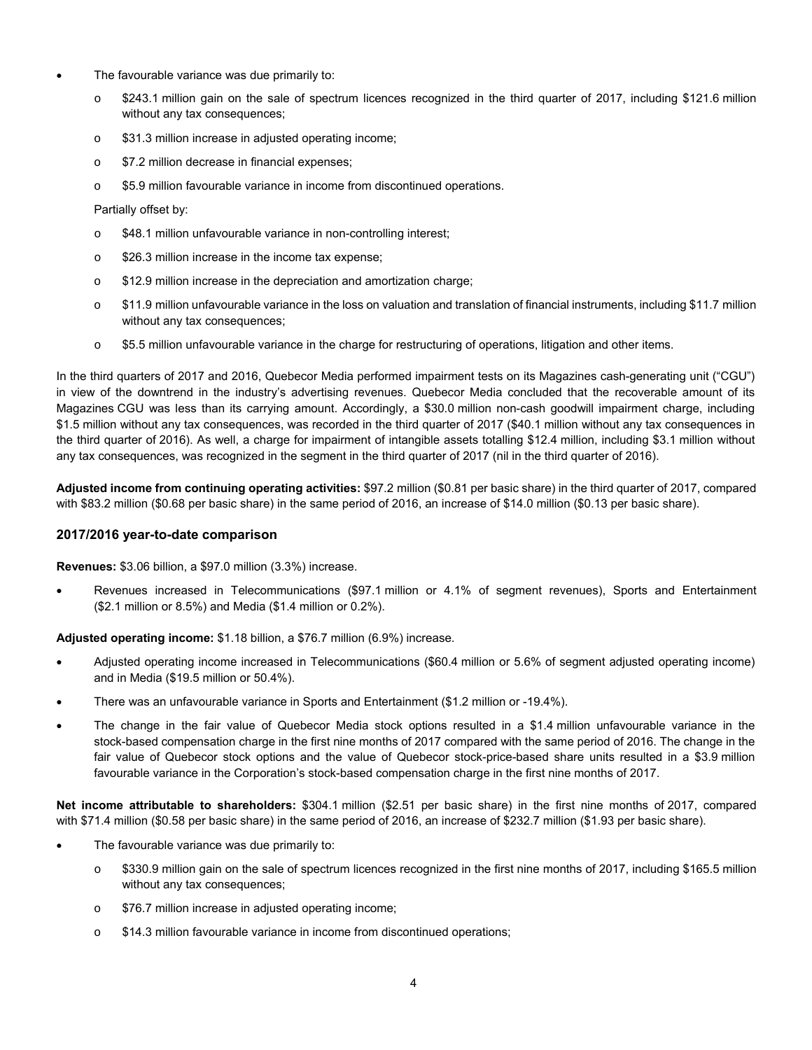- The favourable variance was due primarily to:
	- o \$243.1 million gain on the sale of spectrum licences recognized in the third quarter of 2017, including \$121.6 million without any tax consequences;
	- o \$31.3 million increase in adjusted operating income;
	- o \$7.2 million decrease in financial expenses;
	- o \$5.9 million favourable variance in income from discontinued operations.

### Partially offset by:

- o \$48.1 million unfavourable variance in non-controlling interest;
- o \$26.3 million increase in the income tax expense;
- o \$12.9 million increase in the depreciation and amortization charge;
- o \$11.9 million unfavourable variance in the loss on valuation and translation of financial instruments, including \$11.7 million without any tax consequences;
- o \$5.5 million unfavourable variance in the charge for restructuring of operations, litigation and other items.

In the third quarters of 2017 and 2016, Quebecor Media performed impairment tests on its Magazines cash-generating unit ("CGU") in view of the downtrend in the industry's advertising revenues. Quebecor Media concluded that the recoverable amount of its Magazines CGU was less than its carrying amount. Accordingly, a \$30.0 million non-cash goodwill impairment charge, including \$1.5 million without any tax consequences, was recorded in the third quarter of 2017 (\$40.1 million without any tax consequences in the third quarter of 2016). As well, a charge for impairment of intangible assets totalling \$12.4 million, including \$3.1 million without any tax consequences, was recognized in the segment in the third quarter of 2017 (nil in the third quarter of 2016).

**Adjusted income from continuing operating activities:** \$97.2 million (\$0.81 per basic share) in the third quarter of 2017, compared with \$83.2 million (\$0.68 per basic share) in the same period of 2016, an increase of \$14.0 million (\$0.13 per basic share).

### **2017/2016 year-to-date comparison**

#### **Revenues:** \$3.06 billion, a \$97.0 million (3.3%) increase.

 Revenues increased in Telecommunications (\$97.1 million or 4.1% of segment revenues), Sports and Entertainment (\$2.1 million or 8.5%) and Media (\$1.4 million or 0.2%).

**Adjusted operating income:** \$1.18 billion, a \$76.7 million (6.9%) increase.

- Adjusted operating income increased in Telecommunications (\$60.4 million or 5.6% of segment adjusted operating income) and in Media (\$19.5 million or 50.4%).
- There was an unfavourable variance in Sports and Entertainment (\$1.2 million or -19.4%).
- The change in the fair value of Quebecor Media stock options resulted in a \$1.4 million unfavourable variance in the stock-based compensation charge in the first nine months of 2017 compared with the same period of 2016. The change in the fair value of Quebecor stock options and the value of Quebecor stock-price-based share units resulted in a \$3.9 million favourable variance in the Corporation's stock-based compensation charge in the first nine months of 2017.

**Net income attributable to shareholders:** \$304.1 million (\$2.51 per basic share) in the first nine months of 2017, compared with \$71.4 million (\$0.58 per basic share) in the same period of 2016, an increase of \$232.7 million (\$1.93 per basic share).

- The favourable variance was due primarily to:
	- o \$330.9 million gain on the sale of spectrum licences recognized in the first nine months of 2017, including \$165.5 million without any tax consequences;
	- o \$76.7 million increase in adjusted operating income;
	- o \$14.3 million favourable variance in income from discontinued operations;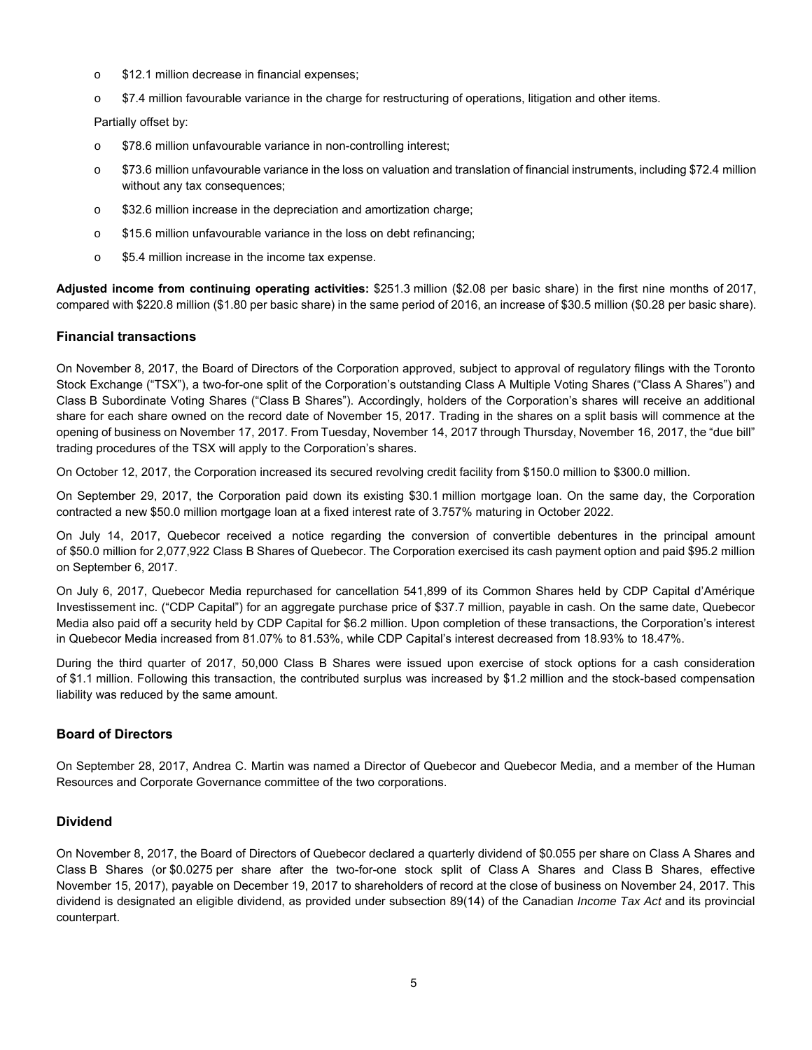- o \$12.1 million decrease in financial expenses;
- o \$7.4 million favourable variance in the charge for restructuring of operations, litigation and other items.

Partially offset by:

- o \$78.6 million unfavourable variance in non-controlling interest;
- $\circ$  \$73.6 million unfavourable variance in the loss on valuation and translation of financial instruments, including \$72.4 million without any tax consequences;
- o \$32.6 million increase in the depreciation and amortization charge;
- o \$15.6 million unfavourable variance in the loss on debt refinancing;
- o \$5.4 million increase in the income tax expense.

**Adjusted income from continuing operating activities:** \$251.3 million (\$2.08 per basic share) in the first nine months of 2017, compared with \$220.8 million (\$1.80 per basic share) in the same period of 2016, an increase of \$30.5 million (\$0.28 per basic share).

### **Financial transactions**

On November 8, 2017, the Board of Directors of the Corporation approved, subject to approval of regulatory filings with the Toronto Stock Exchange ("TSX"), a two-for-one split of the Corporation's outstanding Class A Multiple Voting Shares ("Class A Shares") and Class B Subordinate Voting Shares ("Class B Shares"). Accordingly, holders of the Corporation's shares will receive an additional share for each share owned on the record date of November 15, 2017. Trading in the shares on a split basis will commence at the opening of business on November 17, 2017. From Tuesday, November 14, 2017 through Thursday, November 16, 2017, the "due bill" trading procedures of the TSX will apply to the Corporation's shares.

On October 12, 2017, the Corporation increased its secured revolving credit facility from \$150.0 million to \$300.0 million.

On September 29, 2017, the Corporation paid down its existing \$30.1 million mortgage loan. On the same day, the Corporation contracted a new \$50.0 million mortgage loan at a fixed interest rate of 3.757% maturing in October 2022.

On July 14, 2017, Quebecor received a notice regarding the conversion of convertible debentures in the principal amount of \$50.0 million for 2,077,922 Class B Shares of Quebecor. The Corporation exercised its cash payment option and paid \$95.2 million on September 6, 2017.

On July 6, 2017, Quebecor Media repurchased for cancellation 541,899 of its Common Shares held by CDP Capital d'Amérique Investissement inc. ("CDP Capital") for an aggregate purchase price of \$37.7 million, payable in cash. On the same date, Quebecor Media also paid off a security held by CDP Capital for \$6.2 million. Upon completion of these transactions, the Corporation's interest in Quebecor Media increased from 81.07% to 81.53%, while CDP Capital's interest decreased from 18.93% to 18.47%.

During the third quarter of 2017, 50,000 Class B Shares were issued upon exercise of stock options for a cash consideration of \$1.1 million. Following this transaction, the contributed surplus was increased by \$1.2 million and the stock-based compensation liability was reduced by the same amount.

### **Board of Directors**

On September 28, 2017, Andrea C. Martin was named a Director of Quebecor and Quebecor Media, and a member of the Human Resources and Corporate Governance committee of the two corporations.

### **Dividend**

On November 8, 2017, the Board of Directors of Quebecor declared a quarterly dividend of \$0.055 per share on Class A Shares and Class B Shares (or \$0.0275 per share after the two-for-one stock split of Class A Shares and Class B Shares, effective November 15, 2017), payable on December 19, 2017 to shareholders of record at the close of business on November 24, 2017. This dividend is designated an eligible dividend, as provided under subsection 89(14) of the Canadian *Income Tax Act* and its provincial counterpart.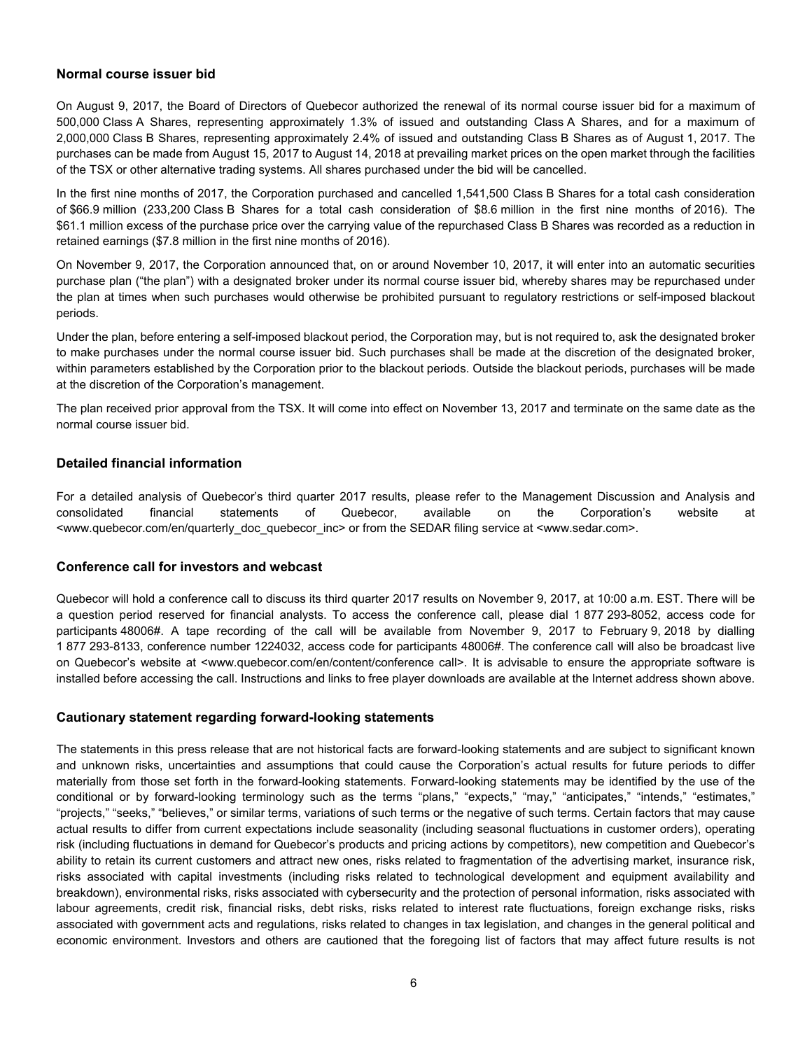### **Normal course issuer bid**

On August 9, 2017, the Board of Directors of Quebecor authorized the renewal of its normal course issuer bid for a maximum of 500,000 Class A Shares, representing approximately 1.3% of issued and outstanding Class A Shares, and for a maximum of 2,000,000 Class B Shares, representing approximately 2.4% of issued and outstanding Class B Shares as of August 1, 2017. The purchases can be made from August 15, 2017 to August 14, 2018 at prevailing market prices on the open market through the facilities of the TSX or other alternative trading systems. All shares purchased under the bid will be cancelled.

In the first nine months of 2017, the Corporation purchased and cancelled 1,541,500 Class B Shares for a total cash consideration of \$66.9 million (233,200 Class B Shares for a total cash consideration of \$8.6 million in the first nine months of 2016). The \$61.1 million excess of the purchase price over the carrying value of the repurchased Class B Shares was recorded as a reduction in retained earnings (\$7.8 million in the first nine months of 2016).

On November 9, 2017, the Corporation announced that, on or around November 10, 2017, it will enter into an automatic securities purchase plan ("the plan") with a designated broker under its normal course issuer bid, whereby shares may be repurchased under the plan at times when such purchases would otherwise be prohibited pursuant to regulatory restrictions or self-imposed blackout periods.

Under the plan, before entering a self-imposed blackout period, the Corporation may, but is not required to, ask the designated broker to make purchases under the normal course issuer bid. Such purchases shall be made at the discretion of the designated broker, within parameters established by the Corporation prior to the blackout periods. Outside the blackout periods, purchases will be made at the discretion of the Corporation's management.

The plan received prior approval from the TSX. It will come into effect on November 13, 2017 and terminate on the same date as the normal course issuer bid.

### **Detailed financial information**

For a detailed analysis of Quebecor's third quarter 2017 results, please refer to the Management Discussion and Analysis and consolidated financial statements of Quebecor, available on the Corporation's website at <www.quebecor.com/en/quarterly\_doc\_quebecor\_inc> or from the SEDAR filing service at <www.sedar.com>.

### **Conference call for investors and webcast**

Quebecor will hold a conference call to discuss its third quarter 2017 results on November 9, 2017, at 10:00 a.m. EST. There will be a question period reserved for financial analysts. To access the conference call, please dial 1 877 293-8052, access code for participants 48006#. A tape recording of the call will be available from November 9, 2017 to February 9, 2018 by dialling 1 877 293-8133, conference number 1224032, access code for participants 48006#. The conference call will also be broadcast live on Quebecor's website at <www.quebecor.com/en/content/conference call>. It is advisable to ensure the appropriate software is installed before accessing the call. Instructions and links to free player downloads are available at the Internet address shown above.

### **Cautionary statement regarding forward-looking statements**

The statements in this press release that are not historical facts are forward-looking statements and are subject to significant known and unknown risks, uncertainties and assumptions that could cause the Corporation's actual results for future periods to differ materially from those set forth in the forward-looking statements. Forward-looking statements may be identified by the use of the conditional or by forward-looking terminology such as the terms "plans," "expects," "may," "anticipates," "intends," "estimates," "projects," "seeks," "believes," or similar terms, variations of such terms or the negative of such terms. Certain factors that may cause actual results to differ from current expectations include seasonality (including seasonal fluctuations in customer orders), operating risk (including fluctuations in demand for Quebecor's products and pricing actions by competitors), new competition and Quebecor's ability to retain its current customers and attract new ones, risks related to fragmentation of the advertising market, insurance risk, risks associated with capital investments (including risks related to technological development and equipment availability and breakdown), environmental risks, risks associated with cybersecurity and the protection of personal information, risks associated with labour agreements, credit risk, financial risks, debt risks, risks related to interest rate fluctuations, foreign exchange risks, risks associated with government acts and regulations, risks related to changes in tax legislation, and changes in the general political and economic environment. Investors and others are cautioned that the foregoing list of factors that may affect future results is not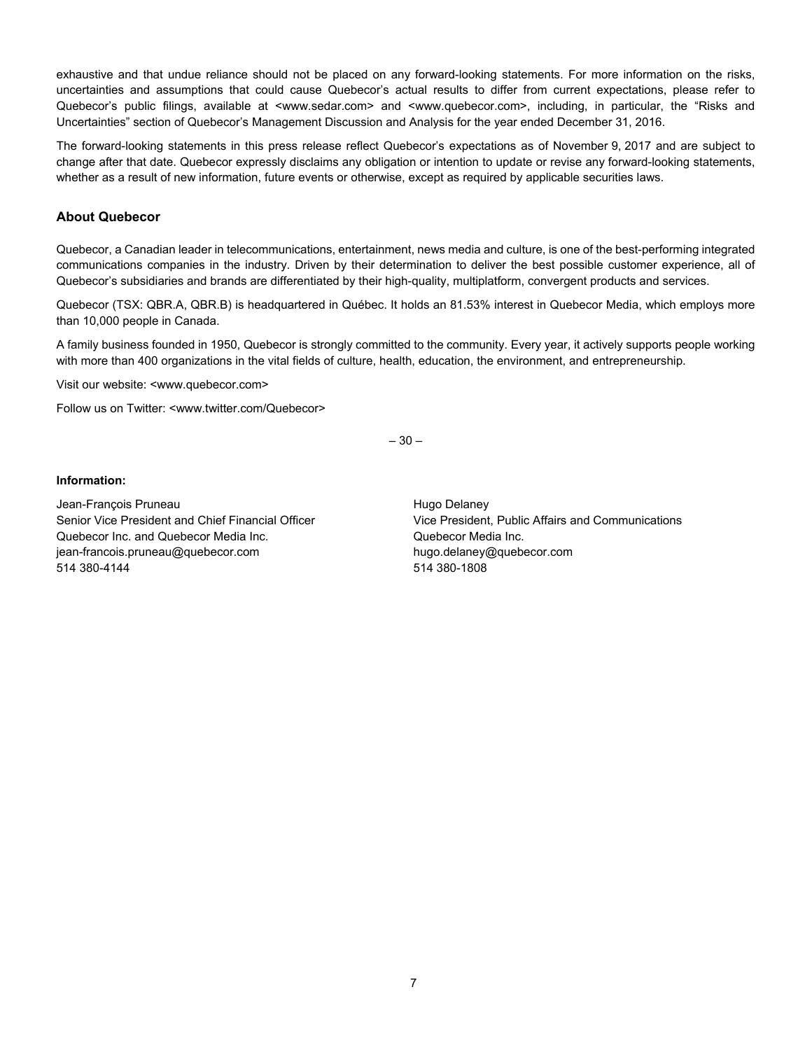exhaustive and that undue reliance should not be placed on any forward-looking statements. For more information on the risks, uncertainties and assumptions that could cause Quebecor's actual results to differ from current expectations, please refer to Quebecor's public filings, available at <www.sedar.com> and <www.quebecor.com>, including, in particular, the "Risks and Uncertainties" section of Quebecor's Management Discussion and Analysis for the year ended December 31, 2016.

The forward-looking statements in this press release reflect Quebecor's expectations as of November 9, 2017 and are subject to change after that date. Quebecor expressly disclaims any obligation or intention to update or revise any forward-looking statements, whether as a result of new information, future events or otherwise, except as required by applicable securities laws.

### **About Quebecor**

Quebecor, a Canadian leader in telecommunications, entertainment, news media and culture, is one of the best-performing integrated communications companies in the industry. Driven by their determination to deliver the best possible customer experience, all of Quebecor's subsidiaries and brands are differentiated by their high-quality, multiplatform, convergent products and services.

Quebecor (TSX: QBR.A, QBR.B) is headquartered in Québec. It holds an 81.53% interest in Quebecor Media, which employs more than 10,000 people in Canada.

A family business founded in 1950, Quebecor is strongly committed to the community. Every year, it actively supports people working with more than 400 organizations in the vital fields of culture, health, education, the environment, and entrepreneurship.

Visit our website: <www.quebecor.com>

Follow us on Twitter: <www.twitter.com/Quebecor>

– 30 –

#### **Information:**

Jean-François Pruneau **Hugo Delaney** Hugo Delaney Quebecor Inc. and Quebecor Media Inc. Quebecor Media Inc. jean-francois.pruneau@quebecor.com hugo.delaney@quebecor.com 514 380-4144 514 380-1808

Senior Vice President and Chief Financial Officer Vice President, Public Affairs and Communications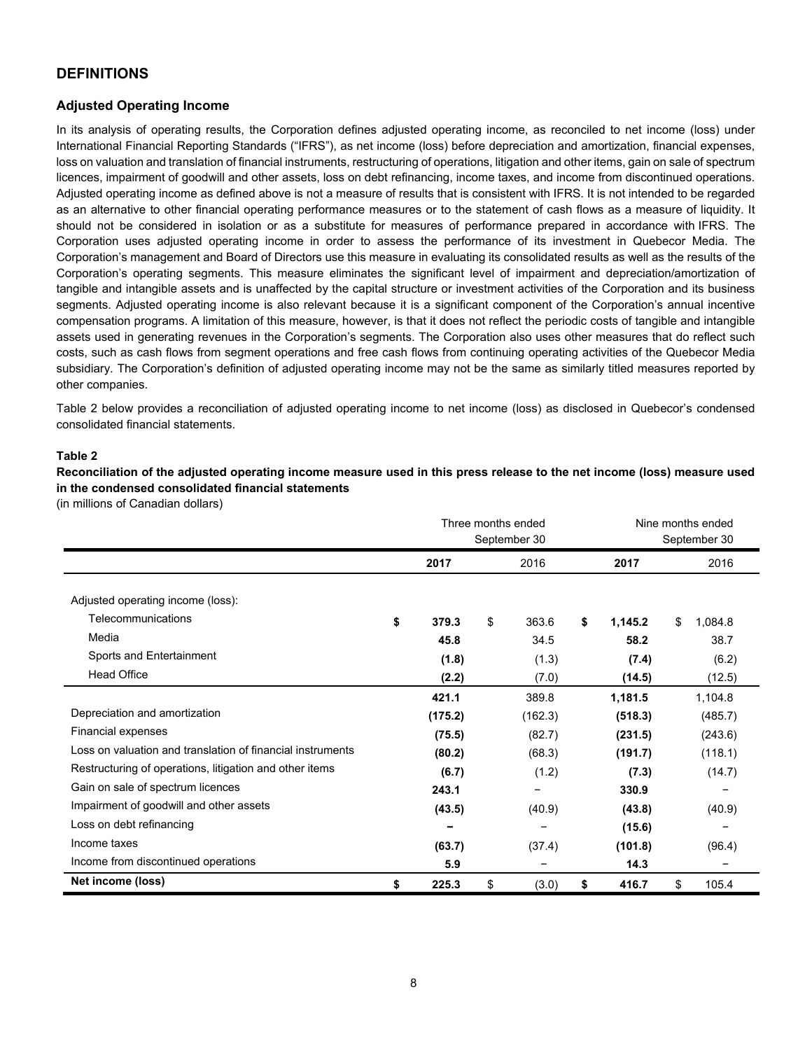### **DEFINITIONS**

### **Adjusted Operating Income**

In its analysis of operating results, the Corporation defines adjusted operating income, as reconciled to net income (loss) under International Financial Reporting Standards ("IFRS"), as net income (loss) before depreciation and amortization, financial expenses, loss on valuation and translation of financial instruments, restructuring of operations, litigation and other items, gain on sale of spectrum licences, impairment of goodwill and other assets, loss on debt refinancing, income taxes, and income from discontinued operations. Adjusted operating income as defined above is not a measure of results that is consistent with IFRS. It is not intended to be regarded as an alternative to other financial operating performance measures or to the statement of cash flows as a measure of liquidity. It should not be considered in isolation or as a substitute for measures of performance prepared in accordance with IFRS. The Corporation uses adjusted operating income in order to assess the performance of its investment in Quebecor Media. The Corporation's management and Board of Directors use this measure in evaluating its consolidated results as well as the results of the Corporation's operating segments. This measure eliminates the significant level of impairment and depreciation/amortization of tangible and intangible assets and is unaffected by the capital structure or investment activities of the Corporation and its business segments. Adjusted operating income is also relevant because it is a significant component of the Corporation's annual incentive compensation programs. A limitation of this measure, however, is that it does not reflect the periodic costs of tangible and intangible assets used in generating revenues in the Corporation's segments. The Corporation also uses other measures that do reflect such costs, such as cash flows from segment operations and free cash flows from continuing operating activities of the Quebecor Media subsidiary. The Corporation's definition of adjusted operating income may not be the same as similarly titled measures reported by other companies.

Table 2 below provides a reconciliation of adjusted operating income to net income (loss) as disclosed in Quebecor's condensed consolidated financial statements.

### **Table 2**

**Reconciliation of the adjusted operating income measure used in this press release to the net income (loss) measure used in the condensed consolidated financial statements** 

(in millions of Canadian dollars)

|                                                            |                |    | Three months ended<br>September 30 | Nine months ended<br>September 30 |         |       |         |  |  |
|------------------------------------------------------------|----------------|----|------------------------------------|-----------------------------------|---------|-------|---------|--|--|
|                                                            | 2017           |    | 2016                               |                                   | 2017    |       | 2016    |  |  |
| Adjusted operating income (loss).                          |                |    |                                    |                                   |         |       |         |  |  |
| Telecommunications                                         | \$<br>379.3    | \$ | 363.6                              | \$                                | 1,145.2 | \$    | 1,084.8 |  |  |
| Media                                                      | 45.8           |    | 34.5                               |                                   | 58.2    |       | 38.7    |  |  |
| Sports and Entertainment                                   | (1.8)<br>(1.3) |    |                                    |                                   |         | (7.4) |         |  |  |
| <b>Head Office</b>                                         | (2.2)          |    | (7.0)                              |                                   | (14.5)  |       | (12.5)  |  |  |
|                                                            | 421.1          |    | 389.8                              |                                   | 1,181.5 |       | 1,104.8 |  |  |
| Depreciation and amortization                              | (175.2)        |    | (162.3)                            |                                   | (518.3) |       | (485.7) |  |  |
| Financial expenses                                         | (75.5)         |    | (82.7)                             |                                   | (231.5) |       | (243.6) |  |  |
| Loss on valuation and translation of financial instruments | (80.2)         |    | (68.3)                             |                                   | (191.7) |       | (118.1) |  |  |
| Restructuring of operations, litigation and other items    | (6.7)          |    | (1.2)                              |                                   | (7.3)   |       | (14.7)  |  |  |
| Gain on sale of spectrum licences                          | 243.1          |    |                                    |                                   | 330.9   |       |         |  |  |
| Impairment of goodwill and other assets                    | (43.5)         |    | (40.9)                             |                                   | (43.8)  |       | (40.9)  |  |  |
| Loss on debt refinancing                                   | -              |    |                                    |                                   | (15.6)  |       |         |  |  |
| Income taxes                                               | (63.7)         |    | (37.4)                             |                                   | (101.8) |       | (96.4)  |  |  |
| Income from discontinued operations                        | 5.9            |    |                                    | 14.3                              |         |       |         |  |  |
| Net income (loss)                                          | \$<br>225.3    | \$ | (3.0)                              | 416.7                             | \$      | 105.4 |         |  |  |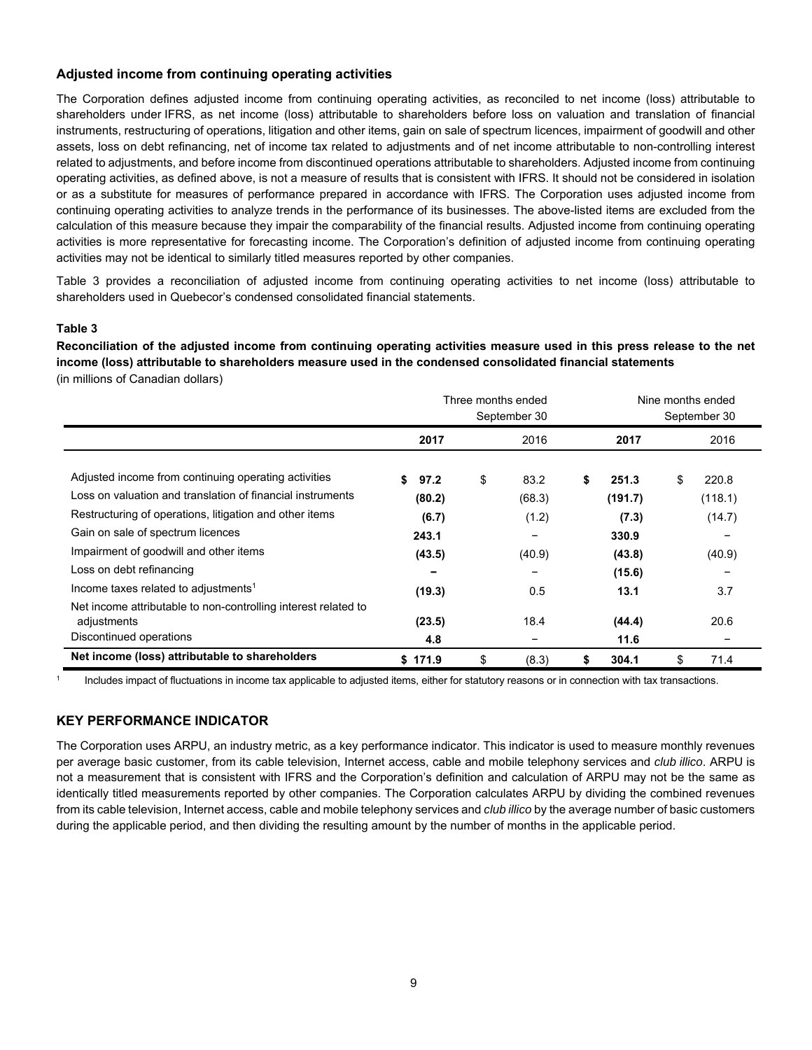### **Adjusted income from continuing operating activities**

The Corporation defines adjusted income from continuing operating activities, as reconciled to net income (loss) attributable to shareholders under IFRS, as net income (loss) attributable to shareholders before loss on valuation and translation of financial instruments, restructuring of operations, litigation and other items, gain on sale of spectrum licences, impairment of goodwill and other assets, loss on debt refinancing, net of income tax related to adjustments and of net income attributable to non-controlling interest related to adjustments, and before income from discontinued operations attributable to shareholders. Adjusted income from continuing operating activities, as defined above, is not a measure of results that is consistent with IFRS. It should not be considered in isolation or as a substitute for measures of performance prepared in accordance with IFRS. The Corporation uses adjusted income from continuing operating activities to analyze trends in the performance of its businesses. The above-listed items are excluded from the calculation of this measure because they impair the comparability of the financial results. Adjusted income from continuing operating activities is more representative for forecasting income. The Corporation's definition of adjusted income from continuing operating activities may not be identical to similarly titled measures reported by other companies.

Table 3 provides a reconciliation of adjusted income from continuing operating activities to net income (loss) attributable to shareholders used in Quebecor's condensed consolidated financial statements.

### **Table 3**

**Reconciliation of the adjusted income from continuing operating activities measure used in this press release to the net income (loss) attributable to shareholders measure used in the condensed consolidated financial statements**  (in millions of Canadian dollars)

|                                                                               |            | Three months ended<br>September 30 | Nine months ended<br>September 30 |         |    |         |  |
|-------------------------------------------------------------------------------|------------|------------------------------------|-----------------------------------|---------|----|---------|--|
|                                                                               | 2017       | 2016                               |                                   | 2017    |    | 2016    |  |
| Adjusted income from continuing operating activities                          | \$<br>97.2 | \$<br>83.2                         | \$                                | 251.3   | \$ | 220.8   |  |
| Loss on valuation and translation of financial instruments                    | (80.2)     | (68.3)                             |                                   | (191.7) |    | (118.1) |  |
| Restructuring of operations, litigation and other items                       | (6.7)      | (1.2)                              |                                   | (7.3)   |    | (14.7)  |  |
| Gain on sale of spectrum licences                                             | 243.1      | $\overline{\phantom{0}}$           |                                   | 330.9   |    |         |  |
| Impairment of goodwill and other items                                        | (43.5)     | (40.9)                             |                                   | (43.8)  |    | (40.9)  |  |
| Loss on debt refinancing                                                      | -          |                                    |                                   | (15.6)  |    |         |  |
| Income taxes related to adjustments <sup>1</sup>                              | (19.3)     | 0.5                                |                                   | 13.1    |    | 3.7     |  |
| Net income attributable to non-controlling interest related to<br>adjustments | (23.5)     | 18.4                               |                                   | (44.4)  |    | 20.6    |  |
| Discontinued operations                                                       | 4.8        |                                    |                                   | 11.6    |    |         |  |
| Net income (loss) attributable to shareholders                                | \$171.9    | \$<br>(8.3)                        | S                                 | 304.1   | \$ | 71.4    |  |

Includes impact of fluctuations in income tax applicable to adjusted items, either for statutory reasons or in connection with tax transactions.

### **KEY PERFORMANCE INDICATOR**

The Corporation uses ARPU, an industry metric, as a key performance indicator. This indicator is used to measure monthly revenues per average basic customer, from its cable television, Internet access, cable and mobile telephony services and *club illico*. ARPU is not a measurement that is consistent with IFRS and the Corporation's definition and calculation of ARPU may not be the same as identically titled measurements reported by other companies. The Corporation calculates ARPU by dividing the combined revenues from its cable television, Internet access, cable and mobile telephony services and *club illico* by the average number of basic customers during the applicable period, and then dividing the resulting amount by the number of months in the applicable period.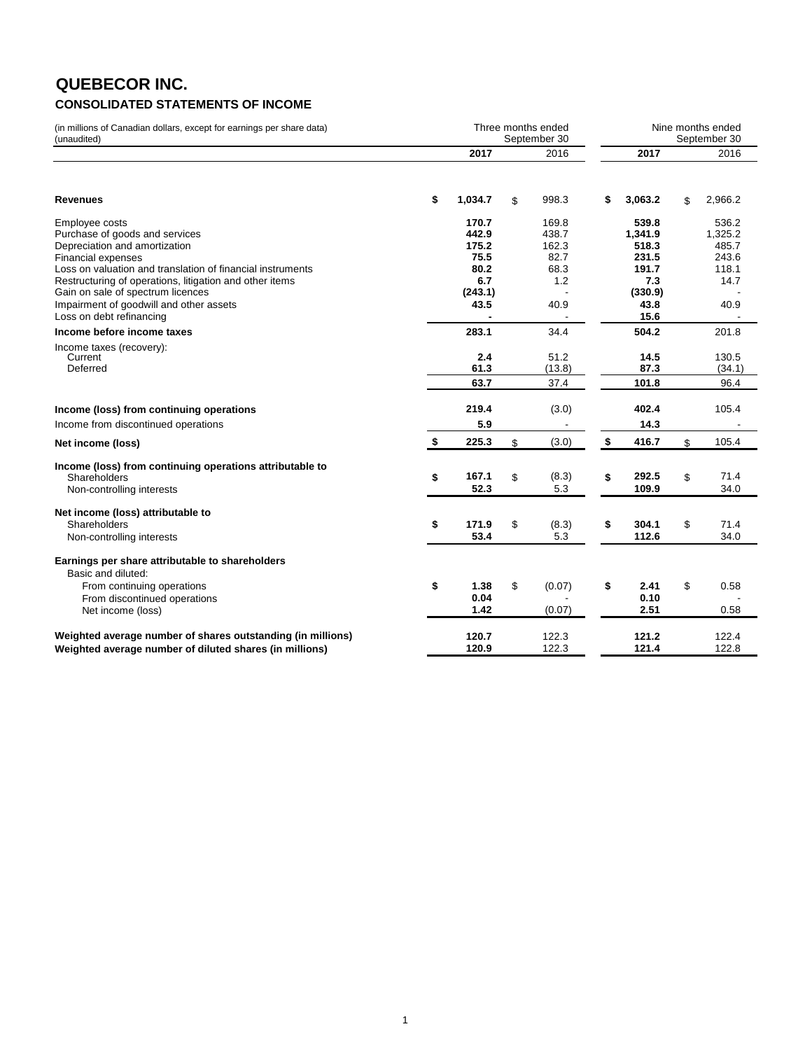## **QUEBECOR INC. CONSOLIDATED STATEMENTS OF INCOME**

(in millions of Canadian dollars, except for earnings per share data) (unaudited)

|                                                             | 2017          | 2016         | 2017          | 2016          |
|-------------------------------------------------------------|---------------|--------------|---------------|---------------|
|                                                             |               |              |               |               |
| <b>Revenues</b>                                             | \$<br>1,034.7 | \$<br>998.3  | \$<br>3.063.2 | \$<br>2.966.2 |
| Employee costs                                              | 170.7         | 169.8        | 539.8         | 536.2         |
| Purchase of goods and services                              | 442.9         | 438.7        | 1,341.9       | 1.325.2       |
| Depreciation and amortization                               | 175.2         | 162.3        | 518.3         | 485.7         |
| Financial expenses                                          | 75.5          | 82.7         | 231.5         | 243.6         |
| Loss on valuation and translation of financial instruments  | 80.2          | 68.3         | 191.7         | 118.1         |
| Restructuring of operations, litigation and other items     | 6.7           | 1.2          | 7.3           | 14.7          |
| Gain on sale of spectrum licences                           | (243.1)       |              | (330.9)       |               |
| Impairment of goodwill and other assets                     | 43.5          | 40.9         | 43.8          | 40.9          |
| Loss on debt refinancing                                    |               |              | 15.6          |               |
| Income before income taxes                                  | 283.1         | 34.4         | 504.2         | 201.8         |
| Income taxes (recovery):                                    |               |              |               |               |
| Current                                                     | 2.4           | 51.2         | 14.5          | 130.5         |
| Deferred                                                    | 61.3          | (13.8)       | 87.3          | (34.1)        |
|                                                             | 63.7          | 37.4         | 101.8         | 96.4          |
| Income (loss) from continuing operations                    | 219.4         | (3.0)        | 402.4         | 105.4         |
| Income from discontinued operations                         | 5.9           |              | 14.3          |               |
| Net income (loss)                                           | \$<br>225.3   | \$<br>(3.0)  | \$<br>416.7   | \$<br>105.4   |
| Income (loss) from continuing operations attributable to    |               |              |               |               |
| Shareholders                                                | \$<br>167.1   | \$<br>(8.3)  | \$<br>292.5   | \$<br>71.4    |
| Non-controlling interests                                   | 52.3          | 5.3          | 109.9         | 34.0          |
| Net income (loss) attributable to                           |               |              |               |               |
| Shareholders                                                | \$<br>171.9   | \$<br>(8.3)  | \$<br>304.1   | \$<br>71.4    |
| Non-controlling interests                                   | 53.4          | 5.3          | 112.6         | 34.0          |
| Earnings per share attributable to shareholders             |               |              |               |               |
| Basic and diluted:                                          |               |              |               |               |
| From continuing operations                                  | \$<br>1.38    | \$<br>(0.07) | \$<br>2.41    | \$<br>0.58    |
| From discontinued operations                                | 0.04          |              | 0.10          |               |
| Net income (loss)                                           | 1.42          | (0.07)       | 2.51          | 0.58          |
| Weighted average number of shares outstanding (in millions) | 120.7         | 122.3        | 121.2         | 122.4         |
| Weighted average number of diluted shares (in millions)     | 120.9         | 122.3        | 121.4         | 122.8         |

Three months ended Nine months ended

September 30

September 30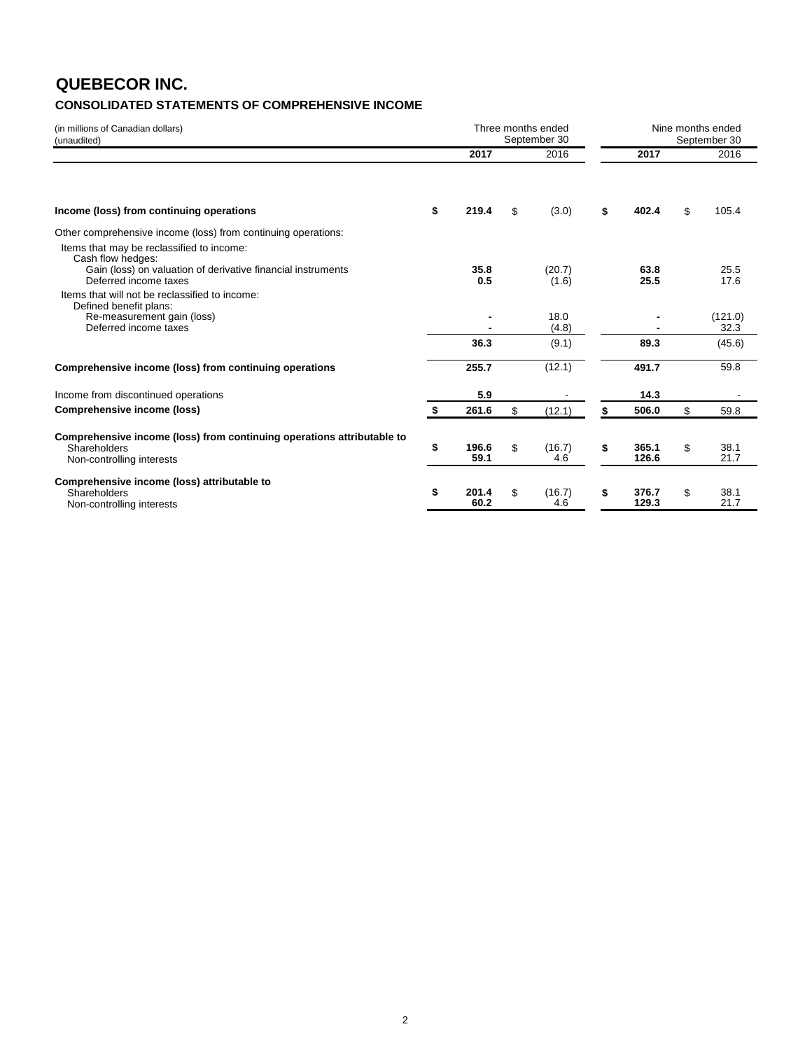# **QUEBECOR INC.**

### **CONSOLIDATED STATEMENTS OF COMPREHENSIVE INCOME**

| (in millions of Canadian dollars)<br>(unaudited)                                                                                |                     | Three months ended<br>September 30 | Nine months ended<br>September 30 |                |    |                 |  |  |  |
|---------------------------------------------------------------------------------------------------------------------------------|---------------------|------------------------------------|-----------------------------------|----------------|----|-----------------|--|--|--|
|                                                                                                                                 | 2017                | 2016                               |                                   | 2017           |    | 2016            |  |  |  |
| Income (loss) from continuing operations                                                                                        | \$<br>219.4         | \$<br>(3.0)                        | \$                                | 402.4          | \$ | 105.4           |  |  |  |
| Other comprehensive income (loss) from continuing operations:<br>Items that may be reclassified to income:<br>Cash flow hedges: |                     |                                    |                                   |                |    |                 |  |  |  |
| Gain (loss) on valuation of derivative financial instruments<br>Deferred income taxes                                           | 35.8<br>0.5         | (20.7)<br>(1.6)                    |                                   | 63.8<br>25.5   |    | 25.5<br>17.6    |  |  |  |
| Items that will not be reclassified to income:<br>Defined benefit plans:<br>Re-measurement gain (loss)<br>Deferred income taxes |                     | 18.0<br>(4.8)                      |                                   |                |    | (121.0)<br>32.3 |  |  |  |
|                                                                                                                                 | 36.3                | (9.1)                              |                                   | 89.3           |    | (45.6)          |  |  |  |
| Comprehensive income (loss) from continuing operations                                                                          | 255.7               | (12.1)                             |                                   | 491.7          |    | 59.8            |  |  |  |
| Income from discontinued operations                                                                                             | 5.9                 |                                    |                                   | 14.3           |    |                 |  |  |  |
| Comprehensive income (loss)                                                                                                     | \$<br>261.6         | \$<br>(12.1)                       | \$                                | 506.0          | \$ | 59.8            |  |  |  |
| Comprehensive income (loss) from continuing operations attributable to<br>Shareholders<br>Non-controlling interests             | \$<br>196.6<br>59.1 | \$<br>(16.7)<br>4.6                | \$                                | 365.1<br>126.6 | \$ | 38.1<br>21.7    |  |  |  |
| Comprehensive income (loss) attributable to<br>Shareholders<br>Non-controlling interests                                        | \$<br>201.4<br>60.2 | \$<br>(16.7)<br>4.6                | \$                                | 376.7<br>129.3 | \$ | 38.1<br>21.7    |  |  |  |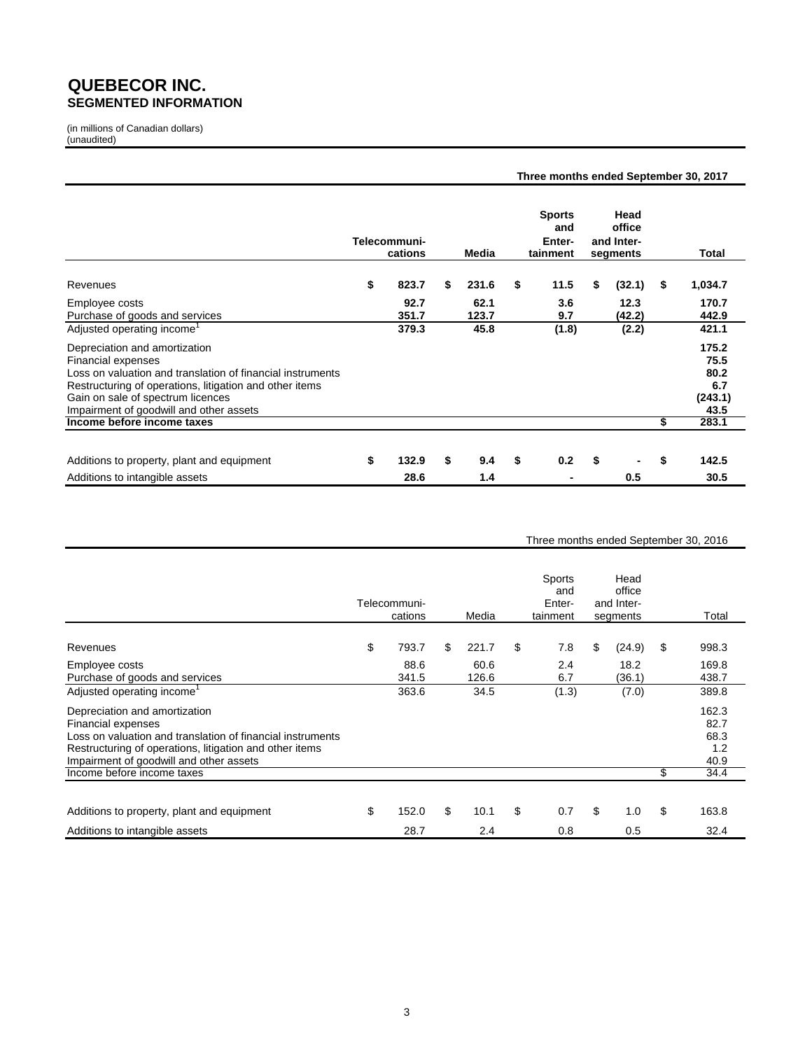### **QUEBECOR INC. SEGMENTED INFORMATION**

(in millions of Canadian dollars) (unaudited)

|                                                                                                                                                                                                                                                                     |                         |               | Three months ended September 30, 2017      |                                          |                                                 |
|---------------------------------------------------------------------------------------------------------------------------------------------------------------------------------------------------------------------------------------------------------------------|-------------------------|---------------|--------------------------------------------|------------------------------------------|-------------------------------------------------|
|                                                                                                                                                                                                                                                                     | Telecommuni-<br>cations | Media         | <b>Sports</b><br>and<br>Enter-<br>tainment | Head<br>office<br>and Inter-<br>segments | Total                                           |
| Revenues                                                                                                                                                                                                                                                            | \$<br>823.7             | \$<br>231.6   | \$<br>11.5                                 | \$<br>(32.1)                             | \$<br>1,034.7                                   |
| Employee costs<br>Purchase of goods and services                                                                                                                                                                                                                    | 92.7<br>351.7           | 62.1<br>123.7 | 3.6<br>9.7                                 | 12.3<br>(42.2)                           | 170.7<br>442.9                                  |
| Adjusted operating income <sup>1</sup>                                                                                                                                                                                                                              | 379.3                   | 45.8          | (1.8)                                      | (2.2)                                    | 421.1                                           |
| Depreciation and amortization<br><b>Financial expenses</b><br>Loss on valuation and translation of financial instruments<br>Restructuring of operations, litigation and other items<br>Gain on sale of spectrum licences<br>Impairment of goodwill and other assets |                         |               |                                            |                                          | 175.2<br>75.5<br>80.2<br>6.7<br>(243.1)<br>43.5 |
| Income before income taxes                                                                                                                                                                                                                                          |                         |               |                                            |                                          | \$<br>283.1                                     |
| Additions to property, plant and equipment                                                                                                                                                                                                                          | \$<br>132.9             | \$<br>9.4     | \$<br>0.2                                  | \$                                       | \$<br>142.5                                     |
| Additions to intangible assets                                                                                                                                                                                                                                      | 28.6                    | 1.4           |                                            | 0.5                                      | 30.5                                            |

#### Three months ended September 30, 2016

|                                                                                                                                                                                                                                | Telecommuni-<br>cations | Media         | Sports<br>and<br>Enter-<br>tainment | Head<br>office<br>and Inter-<br>segments | Total                                |
|--------------------------------------------------------------------------------------------------------------------------------------------------------------------------------------------------------------------------------|-------------------------|---------------|-------------------------------------|------------------------------------------|--------------------------------------|
| Revenues                                                                                                                                                                                                                       | \$<br>793.7             | \$<br>221.7   | \$<br>7.8                           | \$<br>(24.9)                             | \$<br>998.3                          |
| Employee costs<br>Purchase of goods and services                                                                                                                                                                               | 88.6<br>341.5           | 60.6<br>126.6 | 2.4<br>6.7                          | 18.2<br>(36.1)                           | 169.8<br>438.7                       |
| Adjusted operating income <sup>1</sup>                                                                                                                                                                                         | 363.6                   | 34.5          | (1.3)                               | (7.0)                                    | 389.8                                |
| Depreciation and amortization<br><b>Financial expenses</b><br>Loss on valuation and translation of financial instruments<br>Restructuring of operations, litigation and other items<br>Impairment of goodwill and other assets |                         |               |                                     |                                          | 162.3<br>82.7<br>68.3<br>1.2<br>40.9 |
| Income before income taxes                                                                                                                                                                                                     |                         |               |                                     |                                          | \$<br>34.4                           |
| Additions to property, plant and equipment                                                                                                                                                                                     | \$<br>152.0             | \$<br>10.1    | \$<br>0.7                           | \$<br>1.0                                | \$<br>163.8                          |
| Additions to intangible assets                                                                                                                                                                                                 | 28.7                    | 2.4           | 0.8                                 | 0.5                                      | 32.4                                 |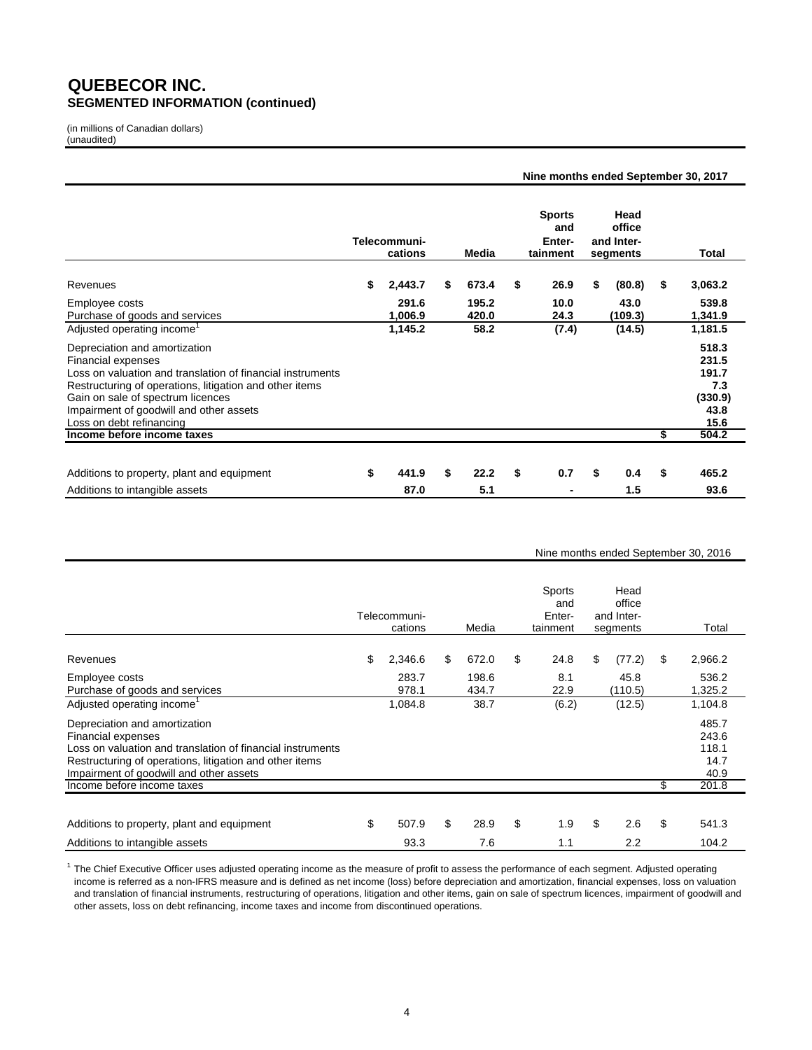### **QUEBECOR INC. SEGMENTED INFORMATION (continued)**

(in millions of Canadian dollars) (unaudited)

|                                                            |                         |    |       | Nine months ended September 30, 2017       |                                          |               |
|------------------------------------------------------------|-------------------------|----|-------|--------------------------------------------|------------------------------------------|---------------|
|                                                            | Telecommuni-<br>cations |    | Media | <b>Sports</b><br>and<br>Enter-<br>tainment | Head<br>office<br>and Inter-<br>segments | Total         |
| Revenues                                                   | \$<br>2,443.7           | S  | 673.4 | \$<br>26.9                                 | \$<br>(80.8)                             | \$<br>3,063.2 |
| Employee costs                                             | 291.6                   |    | 195.2 | 10.0                                       | 43.0                                     | 539.8         |
| Purchase of goods and services                             | 1,006.9                 |    | 420.0 | 24.3                                       | (109.3)                                  | 1,341.9       |
| Adjusted operating income                                  | 1,145.2                 |    | 58.2  | (7.4)                                      | (14.5)                                   | 1,181.5       |
| Depreciation and amortization                              |                         |    |       |                                            |                                          | 518.3         |
| Financial expenses                                         |                         |    |       |                                            |                                          | 231.5         |
| Loss on valuation and translation of financial instruments |                         |    |       |                                            |                                          | 191.7         |
| Restructuring of operations, litigation and other items    |                         |    |       |                                            |                                          | 7.3           |
| Gain on sale of spectrum licences                          |                         |    |       |                                            |                                          | (330.9)       |
| Impairment of goodwill and other assets                    |                         |    |       |                                            |                                          | 43.8          |
| Loss on debt refinancing                                   |                         |    |       |                                            |                                          | 15.6          |
| Income before income taxes                                 |                         |    |       |                                            |                                          | \$<br>504.2   |
|                                                            |                         |    |       |                                            |                                          |               |
| Additions to property, plant and equipment                 | \$<br>441.9             | \$ | 22.2  | \$<br>0.7                                  | \$<br>0.4                                | \$<br>465.2   |
| Additions to intangible assets                             | 87.0                    |    | 5.1   |                                            | 1.5                                      | 93.6          |

#### Nine months ended September 30, 2016

|                                                                                                                                                                                                                                | Telecommuni-<br>cations | Media          | Sports<br>and<br>Enter-<br>tainment | Head<br>office<br>and Inter-<br>segments | Total                                   |
|--------------------------------------------------------------------------------------------------------------------------------------------------------------------------------------------------------------------------------|-------------------------|----------------|-------------------------------------|------------------------------------------|-----------------------------------------|
| Revenues                                                                                                                                                                                                                       | \$<br>2,346.6           | \$<br>672.0    | \$<br>24.8                          | \$<br>(77.2)                             | \$<br>2,966.2                           |
| Employee costs<br>Purchase of goods and services                                                                                                                                                                               | 283.7<br>978.1          | 198.6<br>434.7 | 8.1<br>22.9                         | 45.8<br>(110.5)                          | 536.2<br>1,325.2                        |
| Adjusted operating income                                                                                                                                                                                                      | 1,084.8                 | 38.7           | (6.2)                               | (12.5)                                   | 1,104.8                                 |
| Depreciation and amortization<br><b>Financial expenses</b><br>Loss on valuation and translation of financial instruments<br>Restructuring of operations, litigation and other items<br>Impairment of goodwill and other assets |                         |                |                                     |                                          | 485.7<br>243.6<br>118.1<br>14.7<br>40.9 |
| Income before income taxes                                                                                                                                                                                                     |                         |                |                                     |                                          | \$<br>201.8                             |
| Additions to property, plant and equipment                                                                                                                                                                                     | \$<br>507.9             | \$<br>28.9     | \$<br>1.9                           | \$<br>2.6                                | \$<br>541.3                             |
| Additions to intangible assets                                                                                                                                                                                                 | 93.3                    | 7.6            | 1.1                                 | 2.2                                      | 104.2                                   |

<sup>1</sup> The Chief Executive Officer uses adjusted operating income as the measure of profit to assess the performance of each segment. Adjusted operating other assets, loss on debt refinancing, income taxes and income from discontinued operations. income is referred as a non-IFRS measure and is defined as net income (loss) before depreciation and amortization, financial expenses, loss on valuation and translation of financial instruments, restructuring of operations, litigation and other items, gain on sale of spectrum licences, impairment of goodwill and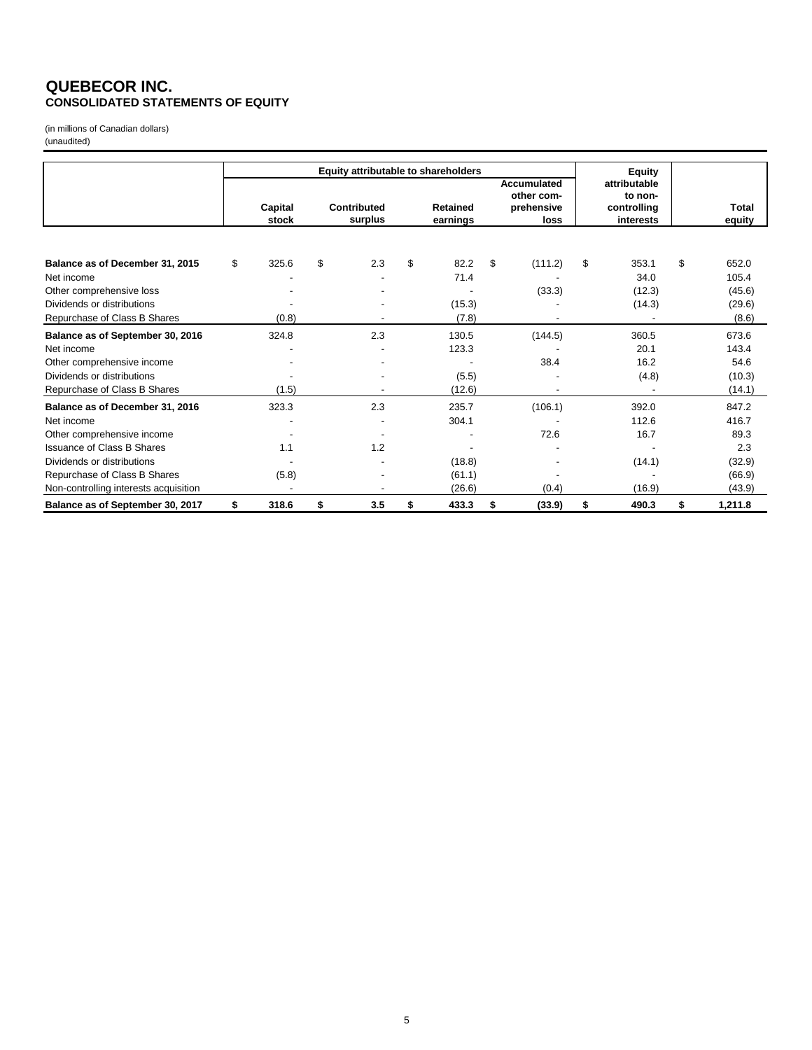### **QUEBECOR INC. CONSOLIDATED STATEMENTS OF EQUITY**

(in millions of Canadian dollars) (unaudited)

|                                       |                  |                        | Equity attributable to shareholders |    |                                                        |                                                     | <b>Equity</b> |                 |
|---------------------------------------|------------------|------------------------|-------------------------------------|----|--------------------------------------------------------|-----------------------------------------------------|---------------|-----------------|
|                                       | Capital<br>stock | Contributed<br>surplus | <b>Retained</b><br>earnings         |    | <b>Accumulated</b><br>other com-<br>prehensive<br>loss | attributable<br>to non-<br>controlling<br>interests |               | Total<br>equity |
|                                       |                  |                        |                                     |    |                                                        |                                                     |               |                 |
| Balance as of December 31, 2015       | \$<br>325.6      | \$<br>2.3              | \$<br>82.2                          | \$ | (111.2)                                                | \$                                                  | 353.1         | \$<br>652.0     |
| Net income                            |                  |                        | 71.4                                |    |                                                        |                                                     | 34.0          | 105.4           |
| Other comprehensive loss              |                  |                        |                                     |    | (33.3)                                                 |                                                     | (12.3)        | (45.6)          |
| Dividends or distributions            |                  |                        | (15.3)                              |    |                                                        |                                                     | (14.3)        | (29.6)          |
| Repurchase of Class B Shares          | (0.8)            |                        | (7.8)                               |    |                                                        |                                                     |               | (8.6)           |
| Balance as of September 30, 2016      | 324.8            | 2.3                    | 130.5                               |    | (144.5)                                                |                                                     | 360.5         | 673.6           |
| Net income                            |                  |                        | 123.3                               |    |                                                        |                                                     | 20.1          | 143.4           |
| Other comprehensive income            |                  |                        |                                     |    | 38.4                                                   |                                                     | 16.2          | 54.6            |
| Dividends or distributions            |                  |                        | (5.5)                               |    |                                                        |                                                     | (4.8)         | (10.3)          |
| Repurchase of Class B Shares          | (1.5)            |                        | (12.6)                              |    |                                                        |                                                     |               | (14.1)          |
| Balance as of December 31, 2016       | 323.3            | 2.3                    | 235.7                               |    | (106.1)                                                |                                                     | 392.0         | 847.2           |
| Net income                            |                  |                        | 304.1                               |    |                                                        |                                                     | 112.6         | 416.7           |
| Other comprehensive income            |                  |                        |                                     |    | 72.6                                                   |                                                     | 16.7          | 89.3            |
| <b>Issuance of Class B Shares</b>     | 1.1              | 1.2                    |                                     |    |                                                        |                                                     |               | 2.3             |
| Dividends or distributions            |                  |                        | (18.8)                              |    |                                                        |                                                     | (14.1)        | (32.9)          |
| Repurchase of Class B Shares          | (5.8)            |                        | (61.1)                              |    |                                                        |                                                     |               | (66.9)          |
| Non-controlling interests acquisition |                  |                        | (26.6)                              |    | (0.4)                                                  |                                                     | (16.9)        | (43.9)          |
| Balance as of September 30, 2017      | \$<br>318.6      | \$<br>3.5              | \$<br>433.3                         | S  | (33.9)                                                 | \$                                                  | 490.3         | \$<br>1,211.8   |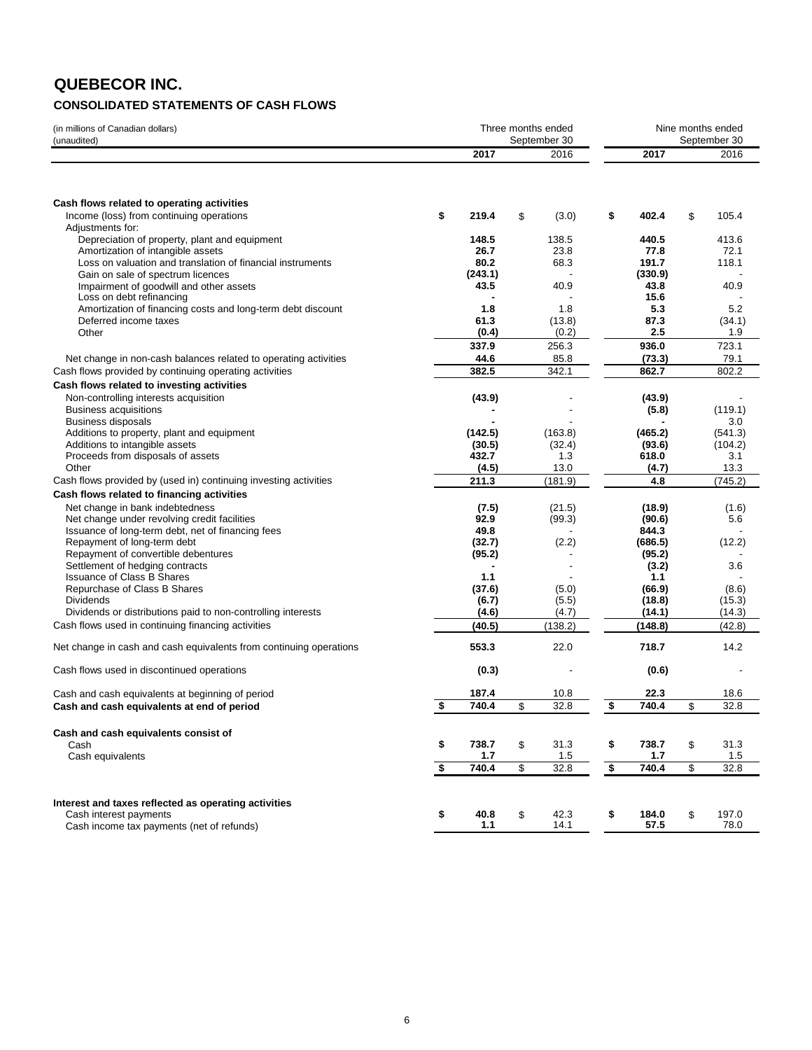### **QUEBECOR INC. CONSOLIDATED STATEMENTS OF CASH FLOWS**

| (in millions of Canadian dollars)<br>(unaudited)                                                |                    | Three months ended<br>September 30 |                         | Nine months ended<br>September 30 |    |                  |
|-------------------------------------------------------------------------------------------------|--------------------|------------------------------------|-------------------------|-----------------------------------|----|------------------|
|                                                                                                 | 2017               | 2016                               |                         | 2017                              |    | 2016             |
|                                                                                                 |                    |                                    |                         |                                   |    |                  |
| Cash flows related to operating activities                                                      |                    |                                    |                         |                                   |    |                  |
| Income (loss) from continuing operations<br>Adjustments for:                                    | \$<br>219.4        | \$<br>(3.0)                        | \$                      | 402.4                             | \$ | 105.4            |
| Depreciation of property, plant and equipment                                                   | 148.5              | 138.5                              |                         | 440.5                             |    | 413.6            |
| Amortization of intangible assets                                                               | 26.7<br>80.2       | 23.8                               |                         | 77.8<br>191.7                     |    | 72.1             |
| Loss on valuation and translation of financial instruments<br>Gain on sale of spectrum licences | (243.1)            | 68.3                               |                         | (330.9)                           |    | 118.1            |
| Impairment of goodwill and other assets                                                         | 43.5               | 40.9                               |                         | 43.8                              |    | 40.9             |
| Loss on debt refinancing                                                                        |                    |                                    |                         | 15.6                              |    |                  |
| Amortization of financing costs and long-term debt discount                                     | 1.8                | 1.8                                |                         | 5.3                               |    | 5.2              |
| Deferred income taxes<br>Other                                                                  | 61.3<br>(0.4)      | (13.8)<br>(0.2)                    |                         | 87.3<br>2.5                       |    | (34.1)<br>1.9    |
|                                                                                                 | 337.9              | 256.3                              |                         | 936.0                             |    | 723.1            |
| Net change in non-cash balances related to operating activities                                 | 44.6               | 85.8                               |                         | (73.3)                            |    | 79.1             |
| Cash flows provided by continuing operating activities                                          | 382.5              | 342.1                              |                         | 862.7                             |    | 802.2            |
| Cash flows related to investing activities                                                      |                    |                                    |                         |                                   |    |                  |
| Non-controlling interests acquisition                                                           | (43.9)             |                                    |                         | (43.9)                            |    |                  |
| <b>Business acquisitions</b>                                                                    |                    |                                    |                         | (5.8)                             |    | (119.1)          |
| <b>Business disposals</b>                                                                       |                    |                                    |                         |                                   |    | 3.0              |
| Additions to property, plant and equipment                                                      | (142.5)            | (163.8)                            |                         | (465.2)                           |    | (541.3)          |
| Additions to intangible assets<br>Proceeds from disposals of assets                             | (30.5)<br>432.7    | (32.4)<br>1.3                      |                         | (93.6)<br>618.0                   |    | (104.2)<br>3.1   |
| Other                                                                                           | (4.5)              | 13.0                               |                         | (4.7)                             |    | 13.3             |
| Cash flows provided by (used in) continuing investing activities                                | 211.3              | (181.9)                            |                         | 4.8                               |    | (745.2)          |
| Cash flows related to financing activities                                                      |                    |                                    |                         |                                   |    |                  |
| Net change in bank indebtedness                                                                 | (7.5)              | (21.5)                             |                         | (18.9)                            |    | (1.6)            |
| Net change under revolving credit facilities                                                    | 92.9               | (99.3)                             |                         | (90.6)                            |    | 5.6              |
| Issuance of long-term debt, net of financing fees<br>Repayment of long-term debt                | 49.8               |                                    |                         | 844.3                             |    |                  |
| Repayment of convertible debentures                                                             | (32.7)<br>(95.2)   | (2.2)                              |                         | (686.5)<br>(95.2)                 |    | (12.2)           |
| Settlement of hedging contracts                                                                 |                    |                                    |                         | (3.2)                             |    | 3.6              |
| <b>Issuance of Class B Shares</b>                                                               | 1.1                |                                    |                         | 1.1                               |    |                  |
| Repurchase of Class B Shares                                                                    | (37.6)             | (5.0)                              |                         | (66.9)                            |    | (8.6)            |
| <b>Dividends</b><br>Dividends or distributions paid to non-controlling interests                | (6.7)              | (5.5)                              |                         | (18.8)                            |    | (15.3)           |
| Cash flows used in continuing financing activities                                              | (4.6)<br>(40.5)    | (4.7)<br>(138.2)                   |                         | (14.1)<br>(148.8)                 |    | (14.3)<br>(42.8) |
|                                                                                                 |                    |                                    |                         |                                   |    |                  |
| Net change in cash and cash equivalents from continuing operations                              | 553.3              | 22.0                               |                         | 718.7                             |    | 14.2             |
| Cash flows used in discontinued operations                                                      | (0.3)              |                                    |                         | (0.6)                             |    |                  |
| Cash and cash equivalents at beginning of period                                                | 187.4              | 10.8                               |                         | 22.3                              |    | 18.6             |
| Cash and cash equivalents at end of period                                                      | \$<br>740.4        | \$<br>32.8                         | \$                      | 740.4                             | \$ | 32.8             |
| Cash and cash equivalents consist of                                                            |                    |                                    |                         |                                   |    |                  |
| Cash                                                                                            | \$<br>738.7        | \$<br>31.3                         | \$                      | 738.7                             | \$ | 31.3             |
| Cash equivalents                                                                                | \$<br>1.7<br>740.4 | \$<br>1.5<br>32.8                  | $\overline{\mathbf{s}}$ | 1.7<br>740.4                      | \$ | 1.5<br>32.8      |
|                                                                                                 |                    |                                    |                         |                                   |    |                  |
|                                                                                                 |                    |                                    |                         |                                   |    |                  |
| Interest and taxes reflected as operating activities<br>Cash interest payments                  | \$<br>40.8         | \$<br>42.3                         | \$                      | 184.0                             | \$ | 197.0            |
| Cash income tax payments (net of refunds)                                                       | 1.1                | 14.1                               |                         | 57.5                              |    | 78.0             |